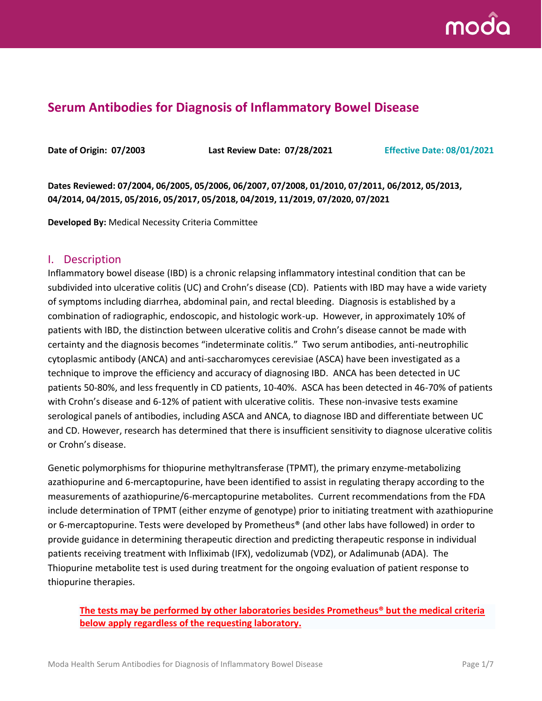

# **Serum Antibodies for Diagnosis of Inflammatory Bowel Disease**

**Date of Origin: 07/2003 Last Review Date: 07/28/2021 Effective Date: 08/01/2021**

**Dates Reviewed: 07/2004, 06/2005, 05/2006, 06/2007, 07/2008, 01/2010, 07/2011, 06/2012, 05/2013, 04/2014, 04/2015, 05/2016, 05/2017, 05/2018, 04/2019, 11/2019, 07/2020, 07/2021**

**Developed By:** Medical Necessity Criteria Committee

#### I. Description

Inflammatory bowel disease (IBD) is a chronic relapsing inflammatory intestinal condition that can be subdivided into ulcerative colitis (UC) and Crohn's disease (CD). Patients with IBD may have a wide variety of symptoms including diarrhea, abdominal pain, and rectal bleeding. Diagnosis is established by a combination of radiographic, endoscopic, and histologic work-up. However, in approximately 10% of patients with IBD, the distinction between ulcerative colitis and Crohn's disease cannot be made with certainty and the diagnosis becomes "indeterminate colitis." Two serum antibodies, anti-neutrophilic cytoplasmic antibody (ANCA) and anti-saccharomyces cerevisiae (ASCA) have been investigated as a technique to improve the efficiency and accuracy of diagnosing IBD. ANCA has been detected in UC patients 50-80%, and less frequently in CD patients, 10-40%. ASCA has been detected in 46-70% of patients with Crohn's disease and 6-12% of patient with ulcerative colitis. These non-invasive tests examine serological panels of antibodies, including ASCA and ANCA, to diagnose IBD and differentiate between UC and CD. However, research has determined that there is insufficient sensitivity to diagnose ulcerative colitis or Crohn's disease.

Genetic polymorphisms for thiopurine methyltransferase (TPMT), the primary enzyme-metabolizing azathiopurine and 6-mercaptopurine, have been identified to assist in regulating therapy according to the measurements of azathiopurine/6-mercaptopurine metabolites. Current recommendations from the FDA include determination of TPMT (either enzyme of genotype) prior to initiating treatment with azathiopurine or 6-mercaptopurine. Tests were developed by Prometheus® (and other labs have followed) in order to provide guidance in determining therapeutic direction and predicting therapeutic response in individual patients receiving treatment with Infliximab (IFX), vedolizumab (VDZ), or Adalimunab (ADA). The Thiopurine metabolite test is used during treatment for the ongoing evaluation of patient response to thiopurine therapies.

### **The tests may be performed by other laboratories besides Prometheus® but the medical criteria below apply regardless of the requesting laboratory.**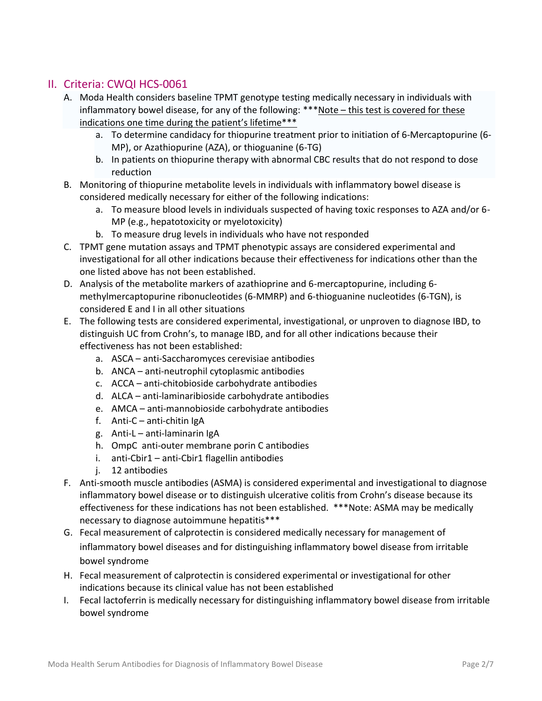## II. Criteria: CWQI HCS-0061

- A. Moda Health considers baseline TPMT genotype testing medically necessary in individuals with inflammatory bowel disease, for any of the following: \*\*\*Note – this test is covered for these indications one time during the patient's lifetime\*\*\*
	- a. To determine candidacy for thiopurine treatment prior to initiation of 6-Mercaptopurine (6- MP), or Azathiopurine (AZA), or thioguanine (6-TG)
	- b. In patients on thiopurine therapy with abnormal CBC results that do not respond to dose reduction
- B. Monitoring of thiopurine metabolite levels in individuals with inflammatory bowel disease is considered medically necessary for either of the following indications:
	- a. To measure blood levels in individuals suspected of having toxic responses to AZA and/or 6- MP (e.g., hepatotoxicity or myelotoxicity)
	- b. To measure drug levels in individuals who have not responded
- C. TPMT gene mutation assays and TPMT phenotypic assays are considered experimental and investigational for all other indications because their effectiveness for indications other than the one listed above has not been established.
- D. Analysis of the metabolite markers of azathioprine and 6-mercaptopurine, including 6 methylmercaptopurine ribonucleotides (6-MMRP) and 6-thioguanine nucleotides (6-TGN), is considered E and I in all other situations
- E. The following tests are considered experimental, investigational, or unproven to diagnose IBD, to distinguish UC from Crohn's, to manage IBD, and for all other indications because their effectiveness has not been established:
	- a. ASCA anti-Saccharomyces cerevisiae antibodies
	- b. ANCA anti-neutrophil cytoplasmic antibodies
	- c. ACCA anti-chitobioside carbohydrate antibodies
	- d. ALCA anti-laminaribioside carbohydrate antibodies
	- e. AMCA anti-mannobioside carbohydrate antibodies
	- f. Anti-C anti-chitin IgA
	- g. Anti-L anti-laminarin IgA
	- h. OmpC anti-outer membrane porin C antibodies
	- i. anti-Cbir1 anti-Cbir1 flagellin antibodies
	- j. 12 antibodies
- F. Anti-smooth muscle antibodies (ASMA) is considered experimental and investigational to diagnose inflammatory bowel disease or to distinguish ulcerative colitis from Crohn's disease because its effectiveness for these indications has not been established. \*\*\*Note: ASMA may be medically necessary to diagnose autoimmune hepatitis\*\*\*
- G. Fecal measurement of calprotectin is considered medically necessary for management of inflammatory bowel diseases and for distinguishing inflammatory bowel disease from irritable bowel syndrome
- H. Fecal measurement of calprotectin is considered experimental or investigational for other indications because its clinical value has not been established
- I. Fecal lactoferrin is medically necessary for distinguishing inflammatory bowel disease from irritable bowel syndrome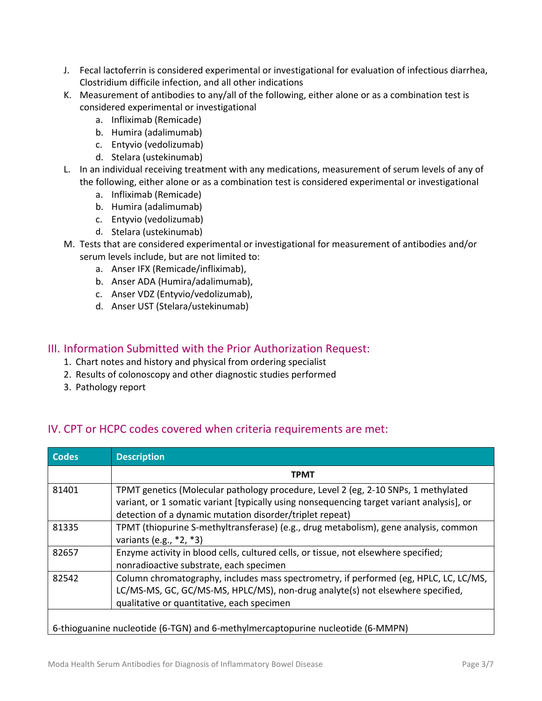- J. Fecal lactoferrin is considered experimental or investigational for evaluation of infectious diarrhea, Clostridium difficile infection, and all other indications
- K. Measurement of antibodies to any/all of the following, either alone or as a combination test is considered experimental or investigational
	- a. Infliximab (Remicade)
	- b. Humira (adalimumab)
	- c. Entyvio (vedolizumab)
	- d. Stelara (ustekinumab)
- L. In an individual receiving treatment with any medications, measurement of serum levels of any of the following, either alone or as a combination test is considered experimental or investigational
	- a. Infliximab (Remicade)
	- b. Humira (adalimumab)
	- c. Entyvio (vedolizumab)
	- d. Stelara (ustekinumab)
- M. Tests that are considered experimental or investigational for measurement of antibodies and/or serum levels include, but are not limited to:
	- a. Anser IFX (Remicade/infliximab),
	- b. Anser ADA (Humira/adalimumab),
	- c. Anser VDZ (Entyvio/vedolizumab),
	- d. Anser UST (Stelara/ustekinumab)

### III. Information Submitted with the Prior Authorization Request:

- 1. Chart notes and history and physical from ordering specialist
- 2. Results of colonoscopy and other diagnostic studies performed
- 3. Pathology report

# IV. CPT or HCPC codes covered when criteria requirements are met:

| <b>Codes</b>                                                                    | <b>Description</b>                                                                                                                                                                                                                          |  |
|---------------------------------------------------------------------------------|---------------------------------------------------------------------------------------------------------------------------------------------------------------------------------------------------------------------------------------------|--|
|                                                                                 | <b>TPMT</b>                                                                                                                                                                                                                                 |  |
| 81401                                                                           | TPMT genetics (Molecular pathology procedure, Level 2 (eg, 2-10 SNPs, 1 methylated<br>variant, or 1 somatic variant [typically using nonsequencing target variant analysis], or<br>detection of a dynamic mutation disorder/triplet repeat) |  |
| 81335                                                                           | TPMT (thiopurine S-methyltransferase) (e.g., drug metabolism), gene analysis, common<br>variants (e.g., $*2, *3$ )                                                                                                                          |  |
| 82657                                                                           | Enzyme activity in blood cells, cultured cells, or tissue, not elsewhere specified;<br>nonradioactive substrate, each specimen                                                                                                              |  |
| 82542                                                                           | Column chromatography, includes mass spectrometry, if performed (eg, HPLC, LC, LC/MS,<br>LC/MS-MS, GC, GC/MS-MS, HPLC/MS), non-drug analyte(s) not elsewhere specified,<br>qualitative or quantitative, each specimen                       |  |
| 6-thioguanine nucleotide (6-TGN) and 6-methylmercaptopurine nucleotide (6-MMPN) |                                                                                                                                                                                                                                             |  |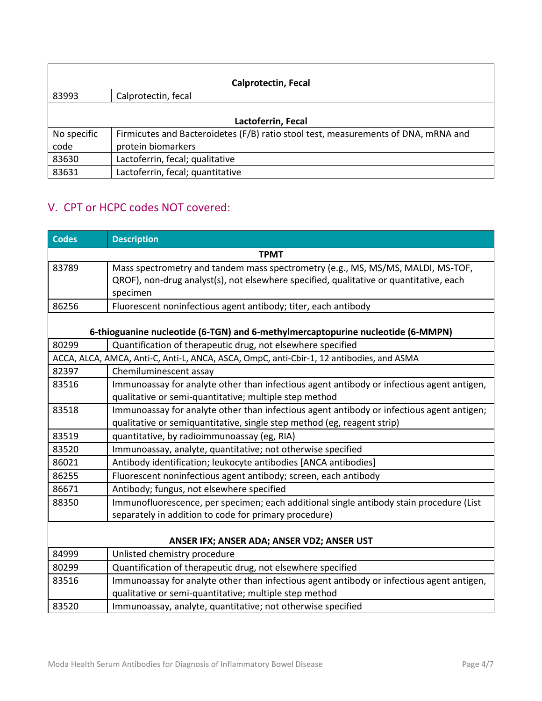| <b>Calprotectin, Fecal</b> |                                                                                    |  |  |
|----------------------------|------------------------------------------------------------------------------------|--|--|
| 83993                      | Calprotectin, fecal                                                                |  |  |
|                            |                                                                                    |  |  |
| Lactoferrin, Fecal         |                                                                                    |  |  |
| No specific                | Firmicutes and Bacteroidetes (F/B) ratio stool test, measurements of DNA, mRNA and |  |  |
| code                       | protein biomarkers                                                                 |  |  |
| 83630                      | Lactoferrin, fecal; qualitative                                                    |  |  |
| 83631                      | Lactoferrin, fecal; quantitative                                                   |  |  |

# V. CPT or HCPC codes NOT covered:

| <b>Codes</b>                                                                             | <b>Description</b>                                                                                                                                                                    |  |
|------------------------------------------------------------------------------------------|---------------------------------------------------------------------------------------------------------------------------------------------------------------------------------------|--|
| <b>TPMT</b>                                                                              |                                                                                                                                                                                       |  |
| 83789                                                                                    | Mass spectrometry and tandem mass spectrometry (e.g., MS, MS/MS, MALDI, MS-TOF,<br>QROF), non-drug analyst(s), not elsewhere specified, qualitative or quantitative, each<br>specimen |  |
| 86256                                                                                    | Fluorescent noninfectious agent antibody; titer, each antibody                                                                                                                        |  |
|                                                                                          | 6-thioguanine nucleotide (6-TGN) and 6-methylmercaptopurine nucleotide (6-MMPN)                                                                                                       |  |
| 80299                                                                                    | Quantification of therapeutic drug, not elsewhere specified                                                                                                                           |  |
| ACCA, ALCA, AMCA, Anti-C, Anti-L, ANCA, ASCA, OmpC, anti-Cbir-1, 12 antibodies, and ASMA |                                                                                                                                                                                       |  |
| 82397                                                                                    | Chemiluminescent assay                                                                                                                                                                |  |
| 83516                                                                                    | Immunoassay for analyte other than infectious agent antibody or infectious agent antigen,<br>qualitative or semi-quantitative; multiple step method                                   |  |
| 83518                                                                                    | Immunoassay for analyte other than infectious agent antibody or infectious agent antigen;<br>qualitative or semiquantitative, single step method (eg, reagent strip)                  |  |
| 83519                                                                                    | quantitative, by radioimmunoassay (eg, RIA)                                                                                                                                           |  |
| 83520                                                                                    | Immunoassay, analyte, quantitative; not otherwise specified                                                                                                                           |  |
| 86021                                                                                    | Antibody identification; leukocyte antibodies [ANCA antibodies]                                                                                                                       |  |
| 86255                                                                                    | Fluorescent noninfectious agent antibody; screen, each antibody                                                                                                                       |  |
| 86671                                                                                    | Antibody; fungus, not elsewhere specified                                                                                                                                             |  |
| 88350                                                                                    | Immunofluorescence, per specimen; each additional single antibody stain procedure (List<br>separately in addition to code for primary procedure)                                      |  |
| ANSER IFX; ANSER ADA; ANSER VDZ; ANSER UST                                               |                                                                                                                                                                                       |  |
| 84999                                                                                    | Unlisted chemistry procedure                                                                                                                                                          |  |
| 80299                                                                                    | Quantification of therapeutic drug, not elsewhere specified                                                                                                                           |  |
| 83516                                                                                    | Immunoassay for analyte other than infectious agent antibody or infectious agent antigen,<br>qualitative or semi-quantitative; multiple step method                                   |  |
| 83520                                                                                    | Immunoassay, analyte, quantitative; not otherwise specified                                                                                                                           |  |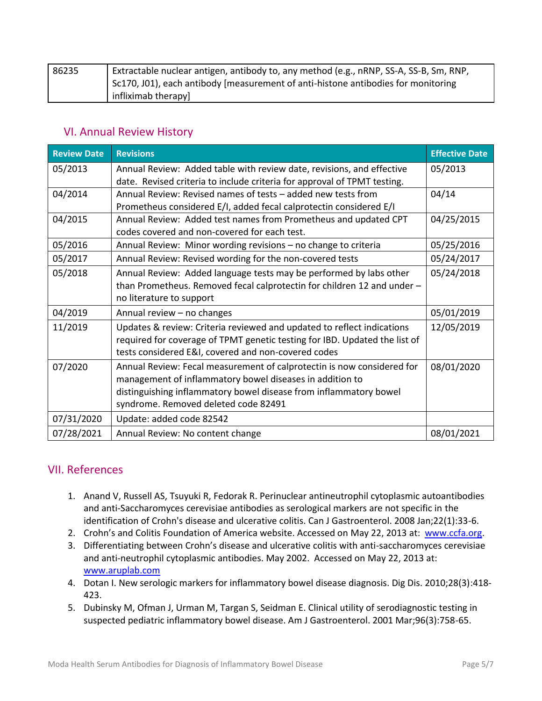| 86235 | Extractable nuclear antigen, antibody to, any method (e.g., nRNP, SS-A, SS-B, Sm, RNP, |
|-------|----------------------------------------------------------------------------------------|
|       | Sc170, J01), each antibody [measurement of anti-histone antibodies for monitoring      |
|       | infliximab therapy                                                                     |

### VI. Annual Review History

| <b>Review Date</b> | <b>Revisions</b>                                                           | <b>Effective Date</b> |
|--------------------|----------------------------------------------------------------------------|-----------------------|
| 05/2013            | Annual Review: Added table with review date, revisions, and effective      | 05/2013               |
|                    | date. Revised criteria to include criteria for approval of TPMT testing.   |                       |
| 04/2014            | Annual Review: Revised names of tests - added new tests from               | 04/14                 |
|                    | Prometheus considered E/I, added fecal calprotectin considered E/I         |                       |
| 04/2015            | Annual Review: Added test names from Prometheus and updated CPT            | 04/25/2015            |
|                    | codes covered and non-covered for each test.                               |                       |
| 05/2016            | Annual Review: Minor wording revisions - no change to criteria             | 05/25/2016            |
| 05/2017            | Annual Review: Revised wording for the non-covered tests                   | 05/24/2017            |
| 05/2018            | Annual Review: Added language tests may be performed by labs other         | 05/24/2018            |
|                    | than Prometheus. Removed fecal calprotectin for children 12 and under -    |                       |
|                    | no literature to support                                                   |                       |
| 04/2019            | Annual review - no changes                                                 | 05/01/2019            |
| 11/2019            | Updates & review: Criteria reviewed and updated to reflect indications     | 12/05/2019            |
|                    | required for coverage of TPMT genetic testing for IBD. Updated the list of |                       |
|                    | tests considered E&I, covered and non-covered codes                        |                       |
| 07/2020            | Annual Review: Fecal measurement of calprotectin is now considered for     | 08/01/2020            |
|                    | management of inflammatory bowel diseases in addition to                   |                       |
|                    | distinguishing inflammatory bowel disease from inflammatory bowel          |                       |
|                    | syndrome. Removed deleted code 82491                                       |                       |
| 07/31/2020         | Update: added code 82542                                                   |                       |
| 07/28/2021         | Annual Review: No content change                                           | 08/01/2021            |

## VII. References

- 1. Anand V, Russell AS, Tsuyuki R, Fedorak R. Perinuclear antineutrophil cytoplasmic autoantibodies and anti-Saccharomyces cerevisiae antibodies as serological markers are not specific in the identification of Crohn's disease and ulcerative colitis. Can J Gastroenterol. 2008 Jan;22(1):33-6.
- 2. Crohn's and Colitis Foundation of America website. Accessed on May 22, 2013 at: [www.ccfa.org.](http://www.ccfa.org/)
- 3. Differentiating between Crohn's disease and ulcerative colitis with anti-saccharomyces cerevisiae and anti-neutrophil cytoplasmic antibodies. May 2002. Accessed on May 22, 2013 at: [www.aruplab.com](http://www.aruplab.com/)
- 4. Dotan I. New serologic markers for inflammatory bowel disease diagnosis. Dig Dis. 2010;28(3):418- 423.
- 5. Dubinsky M, Ofman J, Urman M, Targan S, Seidman E. Clinical utility of serodiagnostic testing in suspected pediatric inflammatory bowel disease. Am J Gastroenterol. 2001 Mar;96(3):758-65.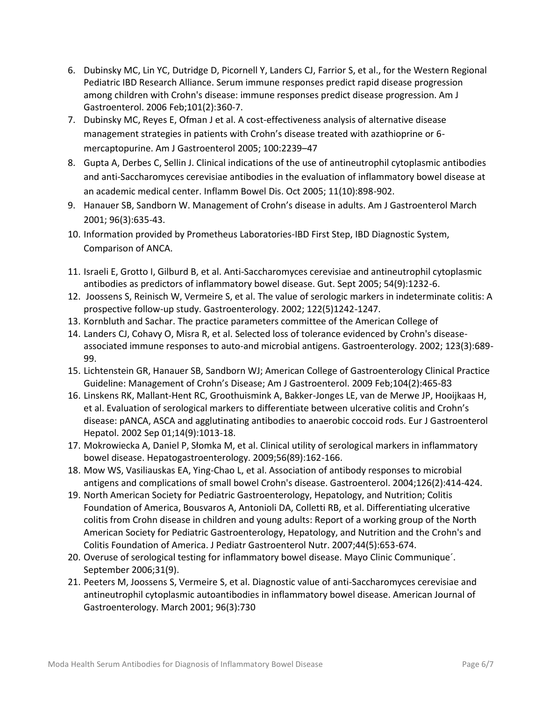- 6. Dubinsky MC, Lin YC, Dutridge D, Picornell Y, Landers CJ, Farrior S, et al., for the Western Regional Pediatric IBD Research Alliance. Serum immune responses predict rapid disease progression among children with Crohn's disease: immune responses predict disease progression. Am J Gastroenterol. 2006 Feb;101(2):360-7.
- 7. Dubinsky MC, Reyes E, Ofman J et al. A cost-effectiveness analysis of alternative disease management strategies in patients with Crohn's disease treated with azathioprine or 6 mercaptopurine. Am J Gastroenterol 2005; 100:2239–47
- 8. Gupta A, Derbes C, Sellin J. Clinical indications of the use of antineutrophil cytoplasmic antibodies and anti-Saccharomyces cerevisiae antibodies in the evaluation of inflammatory bowel disease at an academic medical center. Inflamm Bowel Dis. Oct 2005; 11(10):898-902.
- 9. Hanauer SB, Sandborn W. Management of Crohn's disease in adults. Am J Gastroenterol March 2001; 96(3):635-43.
- 10. Information provided by Prometheus Laboratories-IBD First Step, IBD Diagnostic System, Comparison of ANCA.
- 11. Israeli E, Grotto I, Gilburd B, et al. Anti-Saccharomyces cerevisiae and antineutrophil cytoplasmic antibodies as predictors of inflammatory bowel disease. Gut. Sept 2005; 54(9):1232-6.
- 12. Joossens S, Reinisch W, Vermeire S, et al. The value of serologic markers in indeterminate colitis: A prospective follow-up study. Gastroenterology. 2002; 122(5)1242-1247.
- 13. Kornbluth and Sachar. The practice parameters committee of the American College of
- 14. Landers CJ, Cohavy O, Misra R, et al. Selected loss of tolerance evidenced by Crohn's diseaseassociated immune responses to auto-and microbial antigens. Gastroenterology. 2002; 123(3):689- 99.
- 15. Lichtenstein GR, Hanauer SB, Sandborn WJ; American College of Gastroenterology Clinical Practice Guideline: Management of Crohn's Disease; [Am J Gastroenterol.](http://www.ncbi.nlm.nih.gov/pubmed/19174807) 2009 Feb;104(2):465-83
- 16. Linskens RK, Mallant-Hent RC, Groothuismink A, Bakker-Jonges LE, van de Merwe JP, Hooijkaas H, et al. Evaluation of serological markers to differentiate between ulcerative colitis and Crohn's disease: pANCA, ASCA and agglutinating antibodies to anaerobic coccoid rods. Eur J Gastroenterol Hepatol. 2002 Sep 01;14(9):1013-18.
- 17. Mokrowiecka A, Daniel P, Słomka M, et al. Clinical utility of serological markers in inflammatory bowel disease. Hepatogastroenterology. 2009;56(89):162-166.
- 18. Mow WS, Vasiliauskas EA, Ying-Chao L, et al. Association of antibody responses to microbial antigens and complications of small bowel Crohn's disease. Gastroenterol. 2004;126(2):414-424.
- 19. North American Society for Pediatric Gastroenterology, Hepatology, and Nutrition; Colitis Foundation of America, Bousvaros A, Antonioli DA, Colletti RB, et al. Differentiating ulcerative colitis from Crohn disease in children and young adults: Report of a working group of the North American Society for Pediatric Gastroenterology, Hepatology, and Nutrition and the Crohn's and Colitis Foundation of America. J Pediatr Gastroenterol Nutr. 2007;44(5):653-674.
- 20. Overuse of serological testing for inflammatory bowel disease. Mayo Clinic Communique´. September 2006;31(9).
- 21. Peeters M, Joossens S, Vermeire S, et al. Diagnostic value of anti-Saccharomyces cerevisiae and antineutrophil cytoplasmic autoantibodies in inflammatory bowel disease. American Journal of Gastroenterology. March 2001; 96(3):730